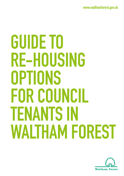**[www.walthamforest.gov.uk](http://www.walthamforest.gov.uk)**

# **GUIDE TO RE-HOUSING OPTIONS FOR COUNCIL TENANTS IN WALTHAM FOREST**

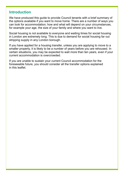## **Introduction**

We have produced this guide to provide Council tenants with a brief summary of the options available if you want to move home. There are a number of ways you can look for accommodation; how and what will depend on your circumstances, for example your age, the size of your family and where you want to live.

Social housing is not available to everyone and waiting times for social housing in London are extremely long. This is due to demand for social housing far out stripping supply in any London borough.

If you have applied for a housing transfer, unless you are applying to move to a smaller property, it is likely to be a number of years before you are rehoused. In certain situations, you may be expected to wait more than ten years, even if your current accommodation is overcrowded.

If you are unable to sustain your current Council accommodation for the foreseeable future, you should consider all the transfer options explained in this leaflet.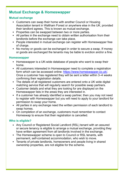## **Mutual Exchange & Homeswapper**

#### **Mutual exchange**

- **•** Customers can swap their home with another Council or Housing Association tenant in Waltham Forest or anywhere else in the UK, provided their landlord agrees. This is known as mutual exchange.
- **•** Properties can be swapped between two or more parties.
- **•** All parties in the exchange need to obtain written authorisation from their landlords before the exchange can take place.
- **•** People interested in mutual exchange can register with Homeswapper free of charge.
- **•** No money or goods can be exchanged in order to secure a swap. If money or goods are exchanged the tenants may be liable to eviction and/or a fine.

#### **Homeswapper**

- **•** Homeswapper is a UK-wide database of people who want to swap their home.
- **•** All customers interested in Homeswapper need to complete a registration form which can be accessed online: [https://www.homeswapper.co.uk/.](https://www.homeswapper.co.uk/) Once a customer has registered they will be sent a letter within 3–4 weeks confirming their registration details.
- **•** The details of all registered customers are entered onto a UK wide digital matching service that will regularly search for possible swap partners.
- **•** Customer details and what they are looking for are displayed on the Homeswapper lists in the areas they are interested in.
- **•** If a customer has already identified a swap partner, then you may not need to register with Homeswapper but you will need to apply to your landlord for permission to swap your home.
- **•** All parties in any exchange need the written permission of each landlord to swap homes.
- **•** On completion of an exchange, customers must remember to contact Homeswap to ensure that their registration is cancelled.

#### **Who is eligible?**

- **•** Any Council or Registered Social Landlord (RSL) tenant with an assured or secure tenancy is eligible to arrange a mutual exchange, providing they have written agreement from all landlords involved in the exchange.
- **•** The Homeswapper scheme is open to Council or RSL tenants, with permanent, self-contained accommodation, who wish to move.
- **•** Tenants of private landlords, homeowners and people living in shared ownership properties, are not eligible for the scheme.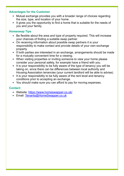#### **Advantages for the Customer**

- **•** Mutual exchange provides you with a broader range of choices regarding the size, type, and location of your home.
- **•** It gives you the opportunity to find a home that is suitable for the needs of you and your family.

#### **Homeswap Tips**

- **•** Be flexible about the area and type of property required. This will increase your chances of finding a suitable swap partner.
- **•** On receiving information about possible swap partners it is your responsibility to make contact and provide details of your own exchange property.
- **•** If both parties are interested in an exchange, arrangements should be made for a mutually convenient time for a viewing.
- **•** When visiting properties or inviting someone to view your home please consider your personal safety, for example have a friend with you.
- **•** It is your responsibility to be fully aware of the type of tenancy you will be taking on, since there can be differences between local authority and Housing Association tenancies (your current landlord will be able to advise).
- **•** It is your responsibility to be fully aware of the rent level and tenancy conditions prior to accepting an exchange.
- **•** You should make sure you can afford to pay for moving expenses.

#### **Contact:**

- Website:<https://www.homeswapper.co.uk/>
- **•** Email: [Tenants@HomeSwapper.co.uk](mailto:Tenants%40HomeSwapper.co.uk?subject=)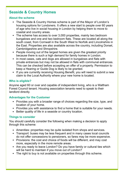# **Seaside & Country Homes**

#### **About the scheme**

- **•** The Seaside & Country Homes scheme is part of the Mayor of London's housing options for Londoners. It offers a new start to people over 60 years of age who live in social housing in London by helping them to move to coastal and country areas.
- **•** The scheme has access to over 3,000 properties, mainly two bedroom bungalows and one and two bedroom flats. These are located all along the south coast, from Cornwall in the South West to Norfolk and Lincolnshire in the East. Properties are also available across the country, including Dorset, Cambridgeshire and Shropshire.
- **•** People moving out of the largest homes are given the greatest priority because there is such a high demand for family homes in London.
- **•** In most cases, cats and dogs are allowed in bungalows and flats with private entrances but may not be allowed in flats with communal entrances. This can be checked before accepting an offer of a property. Permission to keep a Hearing or Guide Dog is likely to be granted.
- **•** If you are currently receiving Housing Benefit, you will need to submit a new claim to the Local Authority where your new home is located.

#### **Who is eligible?**

Anyone aged 60 or over and capable of independent living, who is a Waltham Forest Council tenant. Housing association tenants need to speak to their landlord directly.

#### **Advantages for the Customer**

- **•** Provides you with a broader range of choices regarding the size, type, and location of your home.
- **•** Provides you with assistance to find a home that is suitable for your needs.
- **•** Better quality of life in a seaside or country location.

#### **Things to consider**

You should carefully consider the following when making a decision to apply through this scheme:

- **•** Amenities: properties may be quite isolated from shops and services.
- **•** Transport: buses may be less frequent and in many cases local councils do not offer concessions to pensioners, so fares may be more expensive.
- **•** Provisions: the cost and choice of foods will be different, and may cost more, especially in the more remote areas.
- **•** Are you ready to leave London? Do you have family or cultural ties which will be hard to maintain if you move out of London?
- **•** The right to buy is not available on properties through this scheme.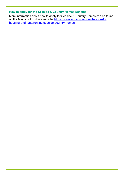### **How to apply for the Seaside & Country Homes Scheme**

More information about how to apply for Seaside & Country Homes can be found on the Mayor of London's website: [https://www.london.gov.uk/what-we-do/](https://www.london.gov.uk/what-we-do/housing-and-land/renting/seaside-country-homes) [housing-and-land/renting/seaside-country-homes](https://www.london.gov.uk/what-we-do/housing-and-land/renting/seaside-country-homes)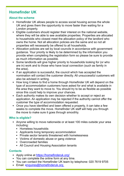# **Homefinder UK**

#### **About the scheme**

- **•** Homefinder UK allows people to access social housing across the whole UK and gives them the opportunity to move faster than waiting for a London property.
- **•** Eligible customers should register their interest on the national website, where they will be able to see available properties. Properties are allocated to households who closest meet the allocation policy of the landlord who owns the home. Not all allocation policies are the same and so not all properties will necessarily be offered to all households.
- **•** Allocation policies are set by local councils in accordance with government guidance. Your priority is likely to be determined by the information you provide when completing the registration form so please be sure to provide as much information as possible.
- **•** Some landlords will give higher priority to households looking for (or who are in) work and to those who have local connection (such as family in the area).
- **•** If an application is successful, the council which has accepted the nomination will contact the customer directly. All unsuccessful customers will also be advised in writing.
- **•** How long it takes to find a home through Homefinder UK will depend on the type of accommodation customers have asked for and what is available in the area they want to move to. You should try to be as flexible as possible since this could help to improve your chances.
- **•** Each authority makes its own decision whether to accept or reject an application. An application may be rejected if the authority cannot offer the customer the type of accommodation requested.
- **•** Once you have identified and been offered a property, it can take a few weeks to complete the move. Homefinder UK staff will help you through the move to make sure it goes through smoothly.

#### **Who is eligible?**

- **•** Anyone willing to move nationwide or at least 100 miles outside your area including:
	- **•** Homeless households
	- **•** Applicants living temporary accommodation
	- **•** Private sector tenants threatened with homelessness
	- **•** Victims of domestic abuse or gang violence
	- **•** Overcrowded families
	- **•** All Council and Housing Association tenants

#### **Contacts**

- **•** Apply online at <https://homefinderuk.org/>
- **•** You can complete the online form at any time.
- **•** You can contact the Homefinder UK team by telephone: 020 7619 9705
- **•** Email: [enquires@homefinderuk.org](mailto:enquires%40homefinderuk.org?subject=)